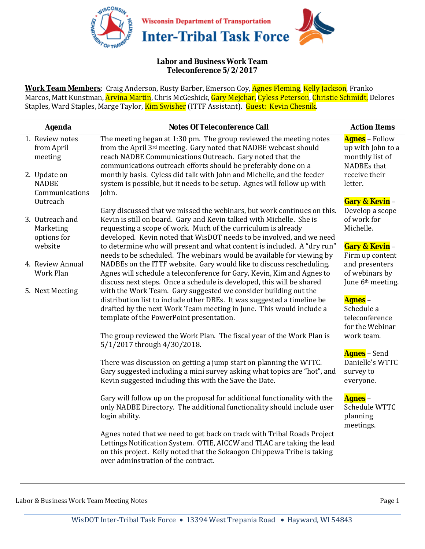

## **Labor and Business Work Team Teleconference 5/2/2017**

**Work Team Members**: Craig Anderson, Rusty Barber, Emerson Coy, Agnes Fleming, Kelly Jackson, Franko Marcos, Matt Kunstman, Arvina Martin, Chris McGeshick, Gary Mejchar, Cyless Peterson, Christie Schmidt, Delores Staples, Ward Staples, Marge Taylor, Kim Swisher (ITTF Assistant). Guest: Kevin Chesnik.

| <b>Notes Of Teleconference Call</b>                                                                                                                                                                                                                                                                                                                                                                                      | <b>Action Items</b>                                                                                                                                                                                                             |
|--------------------------------------------------------------------------------------------------------------------------------------------------------------------------------------------------------------------------------------------------------------------------------------------------------------------------------------------------------------------------------------------------------------------------|---------------------------------------------------------------------------------------------------------------------------------------------------------------------------------------------------------------------------------|
| The meeting began at 1:30 pm. The group reviewed the meeting notes<br>from the April 3rd meeting. Gary noted that NADBE webcast should<br>reach NADBE Communications Outreach. Gary noted that the<br>communications outreach efforts should be preferably done on a<br>monthly basis. Cyless did talk with John and Michelle, and the feeder<br>system is possible, but it needs to be setup. Agnes will follow up with | <b>Agnes</b> - Follow<br>up with John to a<br>monthly list of<br>NADBEs that<br>receive their<br>letter.                                                                                                                        |
| Gary discussed that we missed the webinars, but work continues on this.<br>Kevin is still on board. Gary and Kevin talked with Michelle. She is<br>requesting a scope of work. Much of the curriculum is already                                                                                                                                                                                                         | <b>Gary &amp; Kevin -</b><br>Develop a scope<br>of work for<br>Michelle.                                                                                                                                                        |
| to determine who will present and what content is included. A "dry run"<br>needs to be scheduled. The webinars would be available for viewing by<br>NADBEs on the ITTF website. Gary would like to discuss rescheduling.<br>Agnes will schedule a teleconference for Gary, Kevin, Kim and Agnes to                                                                                                                       | Gary & Kevin -<br>Firm up content<br>and presenters<br>of webinars by<br>June 6 <sup>th</sup> meeting.                                                                                                                          |
| with the Work Team. Gary suggested we consider building out the<br>distribution list to include other DBEs. It was suggested a timeline be<br>drafted by the next Work Team meeting in June. This would include a<br>template of the PowerPoint presentation.                                                                                                                                                            | <b>Agnes</b> –<br>Schedule a<br>teleconference<br>for the Webinar                                                                                                                                                               |
| 5/1/2017 through 4/30/2018.                                                                                                                                                                                                                                                                                                                                                                                              | work team.                                                                                                                                                                                                                      |
| There was discussion on getting a jump start on planning the WTTC.<br>Gary suggested including a mini survey asking what topics are "hot", and<br>Kevin suggested including this with the Save the Date.                                                                                                                                                                                                                 | <b>Agnes</b> – Send<br>Danielle's WTTC<br>survey to<br>everyone.                                                                                                                                                                |
| Gary will follow up on the proposal for additional functionality with the<br>only NADBE Directory. The additional functionality should include user<br>login ability.                                                                                                                                                                                                                                                    | <b>Agnes</b> –<br>Schedule WTTC<br>planning<br>meetings.                                                                                                                                                                        |
| Agnes noted that we need to get back on track with Tribal Roads Project<br>Lettings Notification System. OTIE, AICCW and TLAC are taking the lead<br>on this project. Kelly noted that the Sokaogon Chippewa Tribe is taking<br>over adminstration of the contract.                                                                                                                                                      |                                                                                                                                                                                                                                 |
|                                                                                                                                                                                                                                                                                                                                                                                                                          | John.<br>developed. Kevin noted that WisDOT needs to be involved, and we need<br>discuss next steps. Once a schedule is developed, this will be shared<br>The group reviewed the Work Plan. The fiscal year of the Work Plan is |